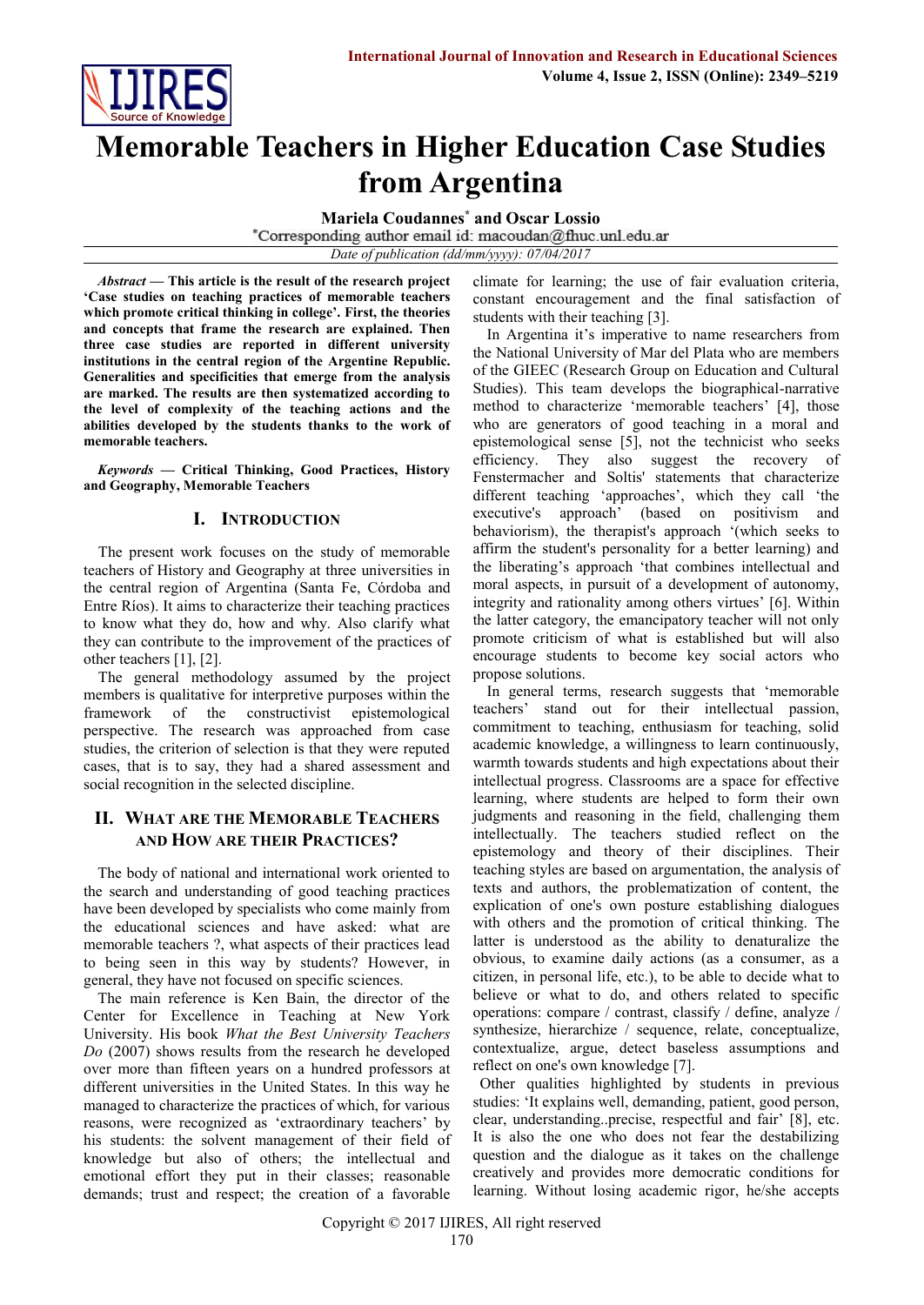

# **Memorable Teachers in Higher Education Case Studies from Argentina**

**Mariela Coudannes\* and Oscar Lossio**

*Date of publication (dd/mm/yyyy): 07/04/2017*

*Abstract* **— This article is the result of the research project 'Case studies on teaching practices of memorable teachers which promote critical thinking in college'. First, the theories and concepts that frame the research are explained. Then three case studies are reported in different university institutions in the central region of the Argentine Republic. Generalities and specificities that emerge from the analysis are marked. The results are then systematized according to the level of complexity of the teaching actions and the abilities developed by the students thanks to the work of memorable teachers.**

*Keywords* **— Critical Thinking, Good Practices, History and Geography, Memorable Teachers**

## **I. INTRODUCTION**

The present work focuses on the study of memorable teachers of History and Geography at three universities in the central region of Argentina (Santa Fe, Córdoba and Entre Ríos). It aims to characterize their teaching practices to know what they do, how and why. Also clarify what they can contribute to the improvement of the practices of other teachers [1], [2].

The general methodology assumed by the project members is qualitative for interpretive purposes within the framework of the constructivist epistemological perspective. The research was approached from case studies, the criterion of selection is that they were reputed cases, that is to say, they had a shared assessment and social recognition in the selected discipline.

# **II. WHAT ARE THE MEMORABLE TEACHERS AND HOW ARE THEIR PRACTICES?**

The body of national and international work oriented to the search and understanding of good teaching practices have been developed by specialists who come mainly from the educational sciences and have asked: what are memorable teachers ?, what aspects of their practices lead to being seen in this way by students? However, in general, they have not focused on specific sciences.

The main reference is Ken Bain, the director of the Center for Excellence in Teaching at New York University. His book *What the Best University Teachers Do* (2007) shows results from the research he developed over more than fifteen years on a hundred professors at different universities in the United States. In this way he managed to characterize the practices of which, for various reasons, were recognized as 'extraordinary teachers' by his students: the solvent management of their field of knowledge but also of others; the intellectual and emotional effort they put in their classes; reasonable demands; trust and respect; the creation of a favorable climate for learning; the use of fair evaluation criteria, constant encouragement and the final satisfaction of students with their teaching [3].

In Argentina it's imperative to name researchers from the National University of Mar del Plata who are members of the GIEEC (Research Group on Education and Cultural Studies). This team develops the biographical-narrative method to characterize 'memorable teachers' [4], those who are generators of good teaching in a moral and epistemological sense [5], not the technicist who seeks efficiency. They also suggest the recovery of Fenstermacher and Soltis' statements that characterize different teaching 'approaches', which they call 'the executive's approach' (based on positivism and behaviorism), the therapist's approach '(which seeks to affirm the student's personality for a better learning) and the liberating's approach 'that combines intellectual and moral aspects, in pursuit of a development of autonomy, integrity and rationality among others virtues' [6]. Within the latter category, the emancipatory teacher will not only promote criticism of what is established but will also encourage students to become key social actors who propose solutions.

In general terms, research suggests that 'memorable teachers' stand out for their intellectual passion, commitment to teaching, enthusiasm for teaching, solid academic knowledge, a willingness to learn continuously, warmth towards students and high expectations about their intellectual progress. Classrooms are a space for effective learning, where students are helped to form their own judgments and reasoning in the field, challenging them intellectually. The teachers studied reflect on the epistemology and theory of their disciplines. Their teaching styles are based on argumentation, the analysis of texts and authors, the problematization of content, the explication of one's own posture establishing dialogues with others and the promotion of critical thinking. The latter is understood as the ability to denaturalize the obvious, to examine daily actions (as a consumer, as a citizen, in personal life, etc.), to be able to decide what to believe or what to do, and others related to specific operations: compare / contrast, classify / define, analyze / synthesize, hierarchize / sequence, relate, conceptualize, contextualize, argue, detect baseless assumptions and reflect on one's own knowledge [7].

Other qualities highlighted by students in previous studies: 'It explains well, demanding, patient, good person, clear, understanding..precise, respectful and fair' [8], etc. It is also the one who does not fear the destabilizing question and the dialogue as it takes on the challenge creatively and provides more democratic conditions for learning. Without losing academic rigor, he/she accepts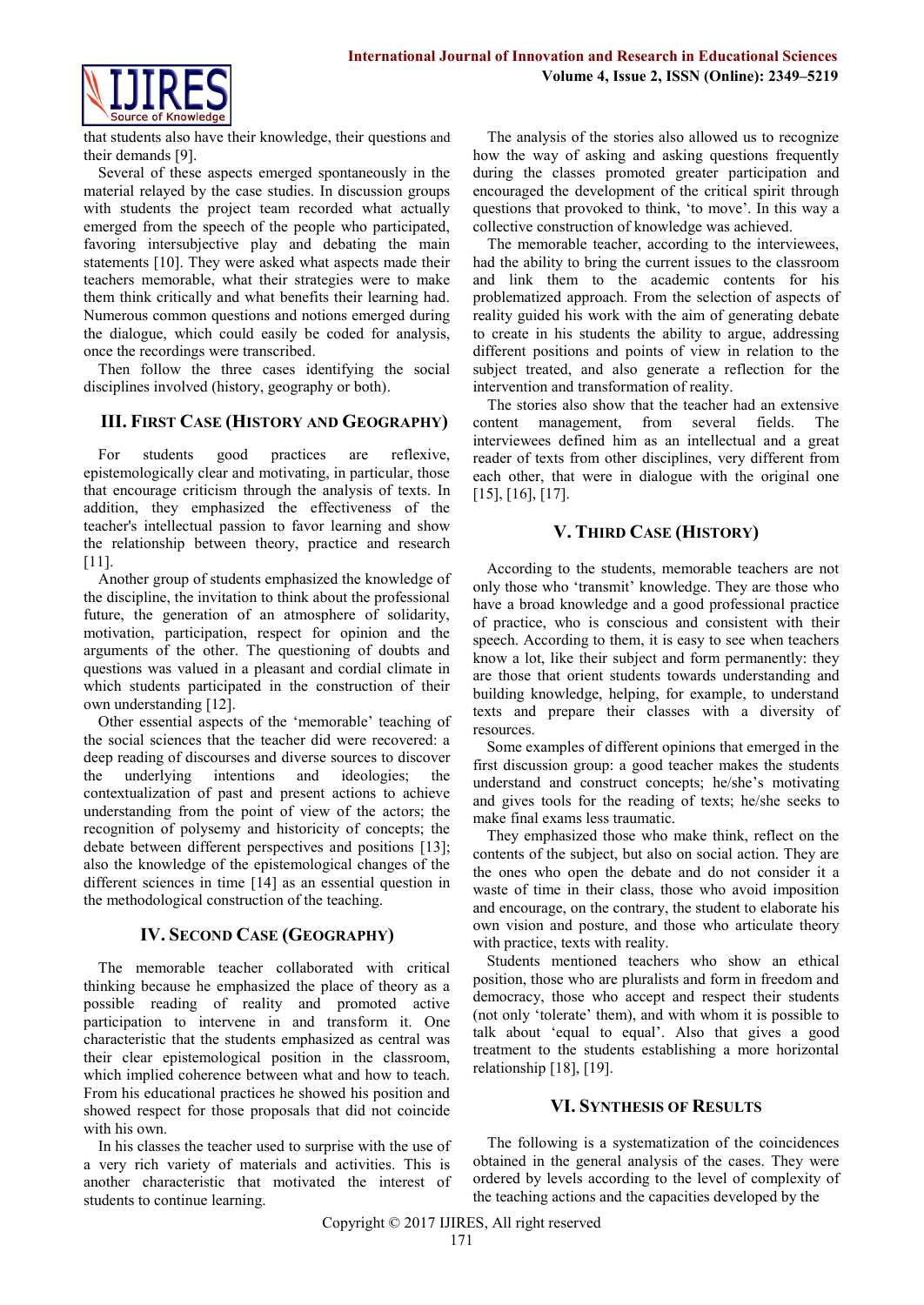

that students also have their knowledge, their questions and their demands [9].

Several of these aspects emerged spontaneously in the material relayed by the case studies. In discussion groups with students the project team recorded what actually emerged from the speech of the people who participated, favoring intersubjective play and debating the main statements [10]. They were asked what aspects made their teachers memorable, what their strategies were to make them think critically and what benefits their learning had. Numerous common questions and notions emerged during the dialogue, which could easily be coded for analysis, once the recordings were transcribed.

Then follow the three cases identifying the social disciplines involved (history, geography or both).

## **III. FIRST CASE (HISTORY AND GEOGRAPHY)**

For students good practices are reflexive, epistemologically clear and motivating, in particular, those that encourage criticism through the analysis of texts. In addition, they emphasized the effectiveness of the teacher's intellectual passion to favor learning and show the relationship between theory, practice and research [11].

Another group of students emphasized the knowledge of the discipline, the invitation to think about the professional future, the generation of an atmosphere of solidarity, motivation, participation, respect for opinion and the arguments of the other. The questioning of doubts and questions was valued in a pleasant and cordial climate in which students participated in the construction of their own understanding [12].

Other essential aspects of the 'memorable' teaching of the social sciences that the teacher did were recovered: a deep reading of discourses and diverse sources to discover the underlying intentions and ideologies; the contextualization of past and present actions to achieve understanding from the point of view of the actors; the recognition of polysemy and historicity of concepts; the debate between different perspectives and positions [13]; also the knowledge of the epistemological changes of the different sciences in time [14] as an essential question in the methodological construction of the teaching.

## **IV. SECOND CASE (GEOGRAPHY)**

The memorable teacher collaborated with critical thinking because he emphasized the place of theory as a possible reading of reality and promoted active participation to intervene in and transform it. One characteristic that the students emphasized as central was their clear epistemological position in the classroom, which implied coherence between what and how to teach. From his educational practices he showed his position and showed respect for those proposals that did not coincide with his own.

In his classes the teacher used to surprise with the use of a very rich variety of materials and activities. This is another characteristic that motivated the interest of students to continue learning.

The analysis of the stories also allowed us to recognize how the way of asking and asking questions frequently during the classes promoted greater participation and encouraged the development of the critical spirit through questions that provoked to think, 'to move'. In this way a collective construction of knowledge was achieved.

The memorable teacher, according to the interviewees, had the ability to bring the current issues to the classroom and link them to the academic contents for his problematized approach. From the selection of aspects of reality guided his work with the aim of generating debate to create in his students the ability to argue, addressing different positions and points of view in relation to the subject treated, and also generate a reflection for the intervention and transformation of reality.

The stories also show that the teacher had an extensive content management, from several fields. The interviewees defined him as an intellectual and a great reader of texts from other disciplines, very different from each other, that were in dialogue with the original one [15], [16], [17].

## **V. THIRD CASE (HISTORY)**

According to the students, memorable teachers are not only those who 'transmit' knowledge. They are those who have a broad knowledge and a good professional practice of practice, who is conscious and consistent with their speech. According to them, it is easy to see when teachers know a lot, like their subject and form permanently: they are those that orient students towards understanding and building knowledge, helping, for example, to understand texts and prepare their classes with a diversity of resources.

Some examples of different opinions that emerged in the first discussion group: a good teacher makes the students understand and construct concepts; he/she's motivating and gives tools for the reading of texts; he/she seeks to make final exams less traumatic.

They emphasized those who make think, reflect on the contents of the subject, but also on social action. They are the ones who open the debate and do not consider it a waste of time in their class, those who avoid imposition and encourage, on the contrary, the student to elaborate his own vision and posture, and those who articulate theory with practice, texts with reality.

Students mentioned teachers who show an ethical position, those who are pluralists and form in freedom and democracy, those who accept and respect their students (not only 'tolerate' them), and with whom it is possible to talk about 'equal to equal'. Also that gives a good treatment to the students establishing a more horizontal relationship [18], [19].

## **VI. SYNTHESIS OF RESULTS**

The following is a systematization of the coincidences obtained in the general analysis of the cases. They were ordered by levels according to the level of complexity of the teaching actions and the capacities developed by the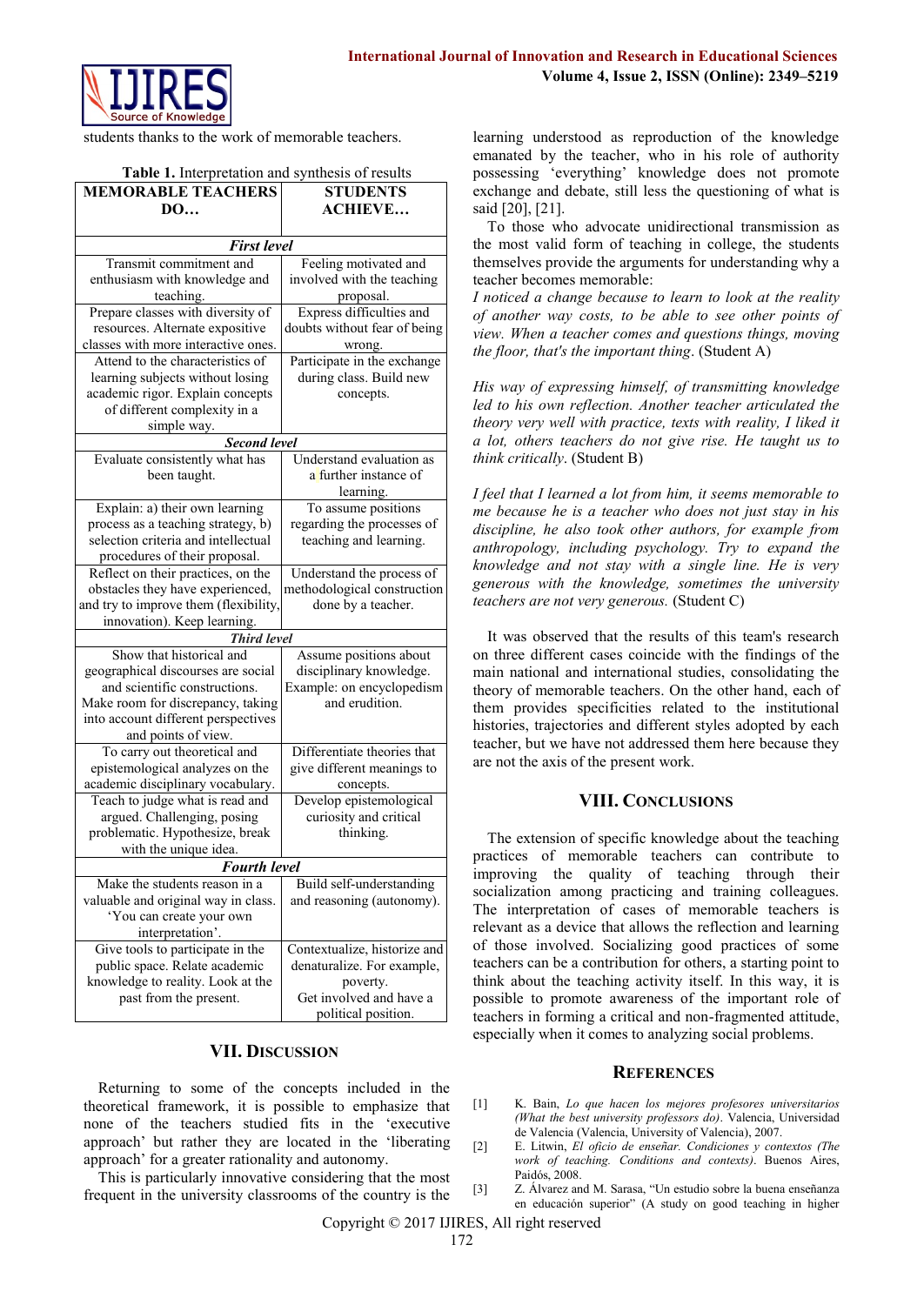

students thanks to the work of memorable teachers.

|  | Table 1. Interpretation and synthesis of results |  |  |
|--|--------------------------------------------------|--|--|
|--|--------------------------------------------------|--|--|

| <b>MEMORABLE TEACHERS</b>             | <b>STUDENTS</b>              |  |  |
|---------------------------------------|------------------------------|--|--|
| <b>DO</b>                             | <b>ACHIEVE</b>               |  |  |
|                                       |                              |  |  |
| <b>First level</b>                    |                              |  |  |
| Transmit commitment and               | Feeling motivated and        |  |  |
| enthusiasm with knowledge and         | involved with the teaching   |  |  |
| teaching.                             | proposal.                    |  |  |
| Prepare classes with diversity of     | Express difficulties and     |  |  |
| resources. Alternate expositive       | doubts without fear of being |  |  |
| classes with more interactive ones.   | wrong.                       |  |  |
| Attend to the characteristics of      | Participate in the exchange  |  |  |
| learning subjects without losing      | during class. Build new      |  |  |
| academic rigor. Explain concepts      | concepts.                    |  |  |
| of different complexity in a          |                              |  |  |
| simple way.                           |                              |  |  |
| <b>Second level</b>                   |                              |  |  |
| Evaluate consistently what has        | Understand evaluation as     |  |  |
| been taught.                          | a further instance of        |  |  |
|                                       | learning.                    |  |  |
| Explain: a) their own learning        | To assume positions          |  |  |
| process as a teaching strategy, b)    | regarding the processes of   |  |  |
| selection criteria and intellectual   | teaching and learning.       |  |  |
| procedures of their proposal.         |                              |  |  |
| Reflect on their practices, on the    | Understand the process of    |  |  |
| obstacles they have experienced,      | methodological construction  |  |  |
| and try to improve them (flexibility, | done by a teacher.           |  |  |
| innovation). Keep learning.           |                              |  |  |
| <b>Third level</b>                    |                              |  |  |
| Show that historical and              | Assume positions about       |  |  |
| geographical discourses are social    | disciplinary knowledge.      |  |  |
| and scientific constructions.         | Example: on encyclopedism    |  |  |
| Make room for discrepancy, taking     | and erudition.               |  |  |
| into account different perspectives   |                              |  |  |
| and points of view.                   |                              |  |  |
| To carry out theoretical and          | Differentiate theories that  |  |  |
| epistemological analyzes on the       | give different meanings to   |  |  |
| academic disciplinary vocabulary.     | concepts.                    |  |  |
| Teach to judge what is read and       | Develop epistemological      |  |  |
| argued. Challenging, posing           | curiosity and critical       |  |  |
| problematic. Hypothesize, break       | thinking.                    |  |  |
| with the unique idea.                 |                              |  |  |
| <b>Fourth level</b>                   |                              |  |  |
| Make the students reason in a         | Build self-understanding     |  |  |
| valuable and original way in class.   | and reasoning (autonomy).    |  |  |
| 'You can create your own              |                              |  |  |
| interpretation'.                      |                              |  |  |
| Give tools to participate in the      | Contextualize, historize and |  |  |
| public space. Relate academic         | denaturalize. For example,   |  |  |
| knowledge to reality. Look at the     | poverty.                     |  |  |
| past from the present.                | Get involved and have a      |  |  |
|                                       | political position.          |  |  |

### **VII. DISCUSSION**

Returning to some of the concepts included in the theoretical framework, it is possible to emphasize that none of the teachers studied fits in the 'executive approach' but rather they are located in the 'liberating approach' for a greater rationality and autonomy.

This is particularly innovative considering that the most frequent in the university classrooms of the country is the

learning understood as reproduction of the knowledge emanated by the teacher, who in his role of authority possessing 'everything' knowledge does not promote exchange and debate, still less the questioning of what is said [20], [21].

To those who advocate unidirectional transmission as the most valid form of teaching in college, the students themselves provide the arguments for understanding why a teacher becomes memorable:

*I noticed a change because to learn to look at the reality of another way costs, to be able to see other points of view. When a teacher comes and questions things, moving the floor, that's the important thing*. (Student A)

*His way of expressing himself, of transmitting knowledge led to his own reflection. Another teacher articulated the theory very well with practice, texts with reality, I liked it a lot, others teachers do not give rise. He taught us to think critically*. (Student B)

*I feel that I learned a lot from him, it seems memorable to me because he is a teacher who does not just stay in his discipline, he also took other authors, for example from anthropology, including psychology. Try to expand the knowledge and not stay with a single line. He is very generous with the knowledge, sometimes the university teachers are not very generous.* (Student C)

It was observed that the results of this team's research on three different cases coincide with the findings of the main national and international studies, consolidating the theory of memorable teachers. On the other hand, each of them provides specificities related to the institutional histories, trajectories and different styles adopted by each teacher, but we have not addressed them here because they are not the axis of the present work.

## **VIII. CONCLUSIONS**

The extension of specific knowledge about the teaching practices of memorable teachers can contribute to improving the quality of teaching through their socialization among practicing and training colleagues. The interpretation of cases of memorable teachers is relevant as a device that allows the reflection and learning of those involved. Socializing good practices of some teachers can be a contribution for others, a starting point to think about the teaching activity itself. In this way, it is possible to promote awareness of the important role of teachers in forming a critical and non-fragmented attitude, especially when it comes to analyzing social problems.

### **REFERENCES**

- [1] K. Bain, *Lo que hacen los mejores profesores universitarios (What the best university professors do)*. Valencia, Universidad de Valencia (Valencia, University of Valencia), 2007.
- [2] E. Litwin, *El oficio de enseñar. Condiciones y contextos (The work of teaching. Conditions and contexts)*. Buenos Aires, Paidós, 2008.
- [3] Z. Álvarez and M. Sarasa, "Un estudio sobre la buena enseñanza en educación superior" (A study on good teaching in higher

Copyright © 2017 IJIRES, All right reserved